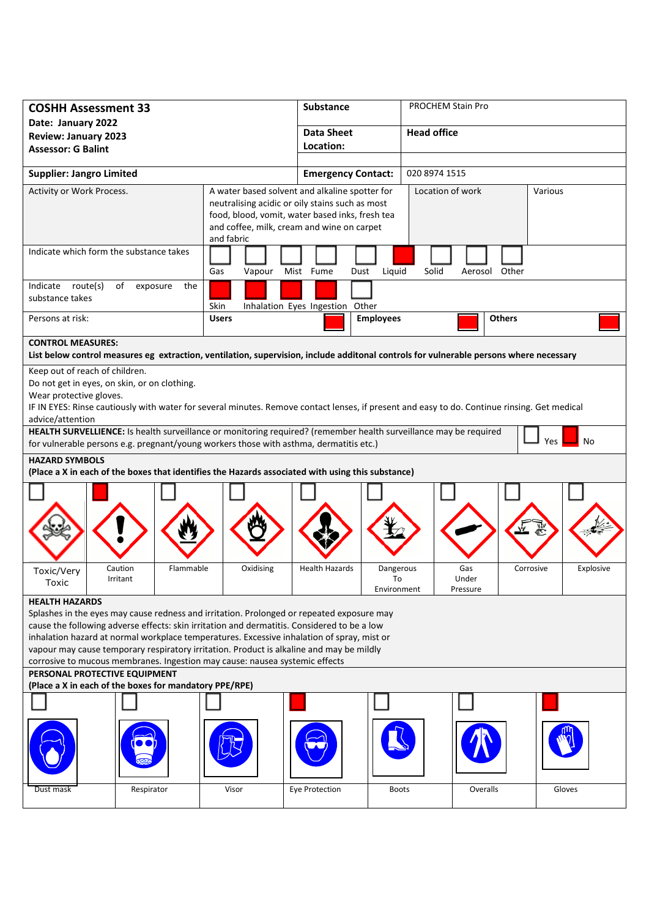| <b>COSHH Assessment 33</b>                                                                                                                                                                |                                                                                                                                                                                                                          |                                                 | Substance                                                                                         |                                            | <b>PROCHEM Stain Pro</b> |                        |  |
|-------------------------------------------------------------------------------------------------------------------------------------------------------------------------------------------|--------------------------------------------------------------------------------------------------------------------------------------------------------------------------------------------------------------------------|-------------------------------------------------|---------------------------------------------------------------------------------------------------|--------------------------------------------|--------------------------|------------------------|--|
| Date: January 2022<br><b>Review: January 2023</b>                                                                                                                                         |                                                                                                                                                                                                                          |                                                 | <b>Data Sheet</b>                                                                                 |                                            | <b>Head office</b>       |                        |  |
| <b>Assessor: G Balint</b>                                                                                                                                                                 |                                                                                                                                                                                                                          |                                                 | Location:                                                                                         |                                            |                          |                        |  |
|                                                                                                                                                                                           |                                                                                                                                                                                                                          |                                                 |                                                                                                   |                                            |                          |                        |  |
| <b>Supplier: Jangro Limited</b>                                                                                                                                                           |                                                                                                                                                                                                                          |                                                 |                                                                                                   | 020 8974 1515<br><b>Emergency Contact:</b> |                          |                        |  |
| Activity or Work Process.                                                                                                                                                                 |                                                                                                                                                                                                                          |                                                 | A water based solvent and alkaline spotter for<br>neutralising acidic or oily stains such as most |                                            | Location of work         | Various                |  |
|                                                                                                                                                                                           |                                                                                                                                                                                                                          | food, blood, vomit, water based inks, fresh tea |                                                                                                   |                                            |                          |                        |  |
|                                                                                                                                                                                           |                                                                                                                                                                                                                          | and coffee, milk, cream and wine on carpet      |                                                                                                   |                                            |                          |                        |  |
| Indicate which form the substance takes                                                                                                                                                   |                                                                                                                                                                                                                          | and fabric                                      |                                                                                                   |                                            |                          |                        |  |
|                                                                                                                                                                                           |                                                                                                                                                                                                                          | Gas<br>Vapour                                   | Mist Fume<br>Dust                                                                                 | Solid<br>Liquid                            | Other<br>Aerosol         |                        |  |
| Indicate route(s)<br>of                                                                                                                                                                   | exposure<br>the                                                                                                                                                                                                          |                                                 |                                                                                                   |                                            |                          |                        |  |
| substance takes                                                                                                                                                                           |                                                                                                                                                                                                                          | Skin                                            | Inhalation Eyes Ingestion Other                                                                   |                                            |                          |                        |  |
| Persons at risk:                                                                                                                                                                          |                                                                                                                                                                                                                          | <b>Users</b>                                    |                                                                                                   | <b>Employees</b>                           | <b>Others</b>            |                        |  |
| <b>CONTROL MEASURES:</b>                                                                                                                                                                  |                                                                                                                                                                                                                          |                                                 |                                                                                                   |                                            |                          |                        |  |
| List below control measures eg extraction, ventilation, supervision, include additonal controls for vulnerable persons where necessary                                                    |                                                                                                                                                                                                                          |                                                 |                                                                                                   |                                            |                          |                        |  |
| Keep out of reach of children.<br>Do not get in eyes, on skin, or on clothing.                                                                                                            |                                                                                                                                                                                                                          |                                                 |                                                                                                   |                                            |                          |                        |  |
| Wear protective gloves.                                                                                                                                                                   |                                                                                                                                                                                                                          |                                                 |                                                                                                   |                                            |                          |                        |  |
| IF IN EYES: Rinse cautiously with water for several minutes. Remove contact lenses, if present and easy to do. Continue rinsing. Get medical                                              |                                                                                                                                                                                                                          |                                                 |                                                                                                   |                                            |                          |                        |  |
| advice/attention                                                                                                                                                                          |                                                                                                                                                                                                                          |                                                 |                                                                                                   |                                            |                          |                        |  |
|                                                                                                                                                                                           | HEALTH SURVELLIENCE: Is health surveillance or monitoring required? (remember health surveillance may be required<br>Yes<br>No<br>for vulnerable persons e.g. pregnant/young workers those with asthma, dermatitis etc.) |                                                 |                                                                                                   |                                            |                          |                        |  |
| <b>HAZARD SYMBOLS</b><br>(Place a X in each of the boxes that identifies the Hazards associated with using this substance)                                                                |                                                                                                                                                                                                                          |                                                 |                                                                                                   |                                            |                          |                        |  |
|                                                                                                                                                                                           |                                                                                                                                                                                                                          |                                                 |                                                                                                   |                                            |                          |                        |  |
|                                                                                                                                                                                           |                                                                                                                                                                                                                          |                                                 |                                                                                                   |                                            |                          |                        |  |
|                                                                                                                                                                                           |                                                                                                                                                                                                                          |                                                 |                                                                                                   |                                            |                          |                        |  |
|                                                                                                                                                                                           |                                                                                                                                                                                                                          |                                                 |                                                                                                   |                                            |                          |                        |  |
|                                                                                                                                                                                           |                                                                                                                                                                                                                          |                                                 |                                                                                                   |                                            |                          |                        |  |
| Caution<br>Toxic/Very                                                                                                                                                                     | Flammable                                                                                                                                                                                                                | Oxidising                                       | <b>Health Hazards</b>                                                                             | Dangerous                                  | Gas                      | Corrosive<br>Explosive |  |
| Irritant<br>Toxic                                                                                                                                                                         |                                                                                                                                                                                                                          |                                                 |                                                                                                   | To<br>Environment                          | Under<br>Pressure        |                        |  |
| <b>HEALTH HAZARDS</b>                                                                                                                                                                     |                                                                                                                                                                                                                          |                                                 |                                                                                                   |                                            |                          |                        |  |
| Splashes in the eyes may cause redness and irritation. Prolonged or repeated exposure may                                                                                                 |                                                                                                                                                                                                                          |                                                 |                                                                                                   |                                            |                          |                        |  |
| cause the following adverse effects: skin irritation and dermatitis. Considered to be a low<br>inhalation hazard at normal workplace temperatures. Excessive inhalation of spray, mist or |                                                                                                                                                                                                                          |                                                 |                                                                                                   |                                            |                          |                        |  |
| vapour may cause temporary respiratory irritation. Product is alkaline and may be mildly                                                                                                  |                                                                                                                                                                                                                          |                                                 |                                                                                                   |                                            |                          |                        |  |
| corrosive to mucous membranes. Ingestion may cause: nausea systemic effects                                                                                                               |                                                                                                                                                                                                                          |                                                 |                                                                                                   |                                            |                          |                        |  |
| PERSONAL PROTECTIVE EQUIPMENT<br>(Place a X in each of the boxes for mandatory PPE/RPE)                                                                                                   |                                                                                                                                                                                                                          |                                                 |                                                                                                   |                                            |                          |                        |  |
|                                                                                                                                                                                           |                                                                                                                                                                                                                          |                                                 |                                                                                                   |                                            |                          |                        |  |
|                                                                                                                                                                                           |                                                                                                                                                                                                                          |                                                 |                                                                                                   |                                            |                          |                        |  |
|                                                                                                                                                                                           |                                                                                                                                                                                                                          |                                                 |                                                                                                   |                                            |                          |                        |  |
|                                                                                                                                                                                           |                                                                                                                                                                                                                          |                                                 |                                                                                                   |                                            |                          |                        |  |
|                                                                                                                                                                                           |                                                                                                                                                                                                                          |                                                 |                                                                                                   |                                            |                          |                        |  |
| Dust mask                                                                                                                                                                                 | Respirator                                                                                                                                                                                                               | Visor                                           | Eye Protection                                                                                    | <b>Boots</b>                               | Overalls                 | Gloves                 |  |
|                                                                                                                                                                                           |                                                                                                                                                                                                                          |                                                 |                                                                                                   |                                            |                          |                        |  |